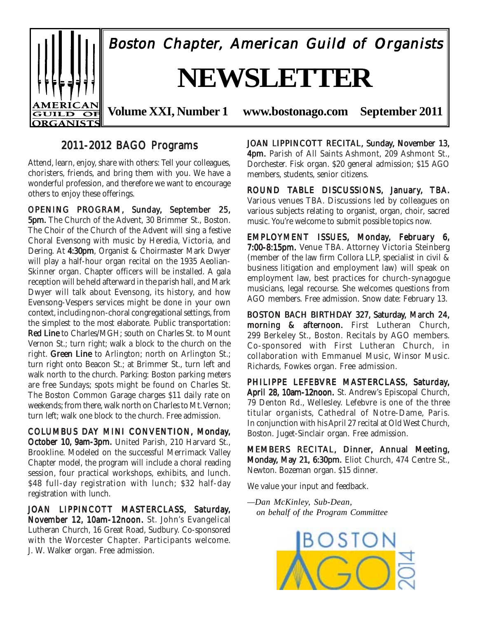

## 2011-2012 BAGO Programs

Attend, learn, enjoy, share with others: Tell your colleagues, choristers, friends, and bring them with you. We have a wonderful profession, and therefore we want to encourage others to enjoy these offerings.

OPENING PROGRAM, Sunday, September 25, **5pm.** The Church of the Advent, 30 Brimmer St., Boston. The Choir of the Church of the Advent will sing a festive Choral Evensong with music by Heredia, Victoria, and Dering. At 4:30pm, Organist & Choirmaster Mark Dwyer will play a half-hour organ recital on the 1935 Aeolian-Skinner organ. Chapter officers will be installed. A gala reception will be held afterward in the parish hall, and Mark Dwyer will talk about Evensong, its history, and how Evensong-Vespers services might be done in your own context, including non-choral congregational settings, from the simplest to the most elaborate. Public transportation: Red Line to Charles/MGH; south on Charles St. to Mount Vernon St.; turn right; walk a block to the church on the right. Green Line to Arlington; north on Arlington St.; turn right onto Beacon St.; at Brimmer St., turn left and walk north to the church. Parking: Boston parking meters are free Sundays; spots might be found on Charles St. The Boston Common Garage charges \$11 daily rate on weekends; from there, walk north on Charles to Mt. Vernon; turn left; walk one block to the church. Free admission.

COLUMBUS DAY MINI CONVENTION, Monday, October 10, 9am-3pm. United Parish, 210 Harvard St., Brookline. Modeled on the successful Merrimack Valley Chapter model, the program will include a choral reading session, four practical workshops, exhibits, and lunch. \$48 full-day registration with lunch; \$32 half-day registration with lunch.

JOAN LIPPINCOTT MASTERCLASS, Saturday, November 12, 10am-12noon. St. John's Evangelical Lutheran Church, 16 Great Road, Sudbury. Co-sponsored with the Worcester Chapter. Participants welcome. J. W. Walker organ. Free admission.

JOAN LIPPINCOTT RECITAL, Sunday, November 13, 4pm. Parish of All Saints Ashmont, 209 Ashmont St., Dorchester. Fisk organ. \$20 general admission; \$15 AGO members, students, senior citizens.

ROUND TABLE DISCUSSIONS, January, TBA. Various venues TBA. Discussions led by colleagues on various subjects relating to organist, organ, choir, sacred music. You're welcome to submit possible topics now.

EMPLOYMENT ISSUES, Monday, February 6, 7:00-8:15pm. Venue TBA. Attorney Victoria Steinberg (member of the law firm Collora LLP, specialist in civil & business litigation and employment law) will speak on employment law, best practices for church-synagogue musicians, legal recourse. She welcomes questions from AGO members. Free admission. Snow date: February 13.

BOSTON BACH BIRTHDAY 327, Saturday, March 24, morning & afternoon. First Lutheran Church, 299 Berkeley St., Boston. Recitals by AGO members. Co-sponsored with First Lutheran Church, in collaboration with Emmanuel Music, Winsor Music. Richards, Fowkes organ. Free admission.

PHILIPPE LEFEBVRE MASTERCLASS, Saturday, April 28, 10am-12noon. St. Andrew's Episcopal Church, 79 Denton Rd., Wellesley. Lefebvre is one of the three titular organists, Cathedral of Notre-Dame, Paris. In conjunction with his April 27 recital at Old West Church, Boston. Juget-Sinclair organ. Free admission.

MEMBERS RECITAL, Dinner, Annual Meeting, Monday, May 21, 6:30pm. Eliot Church, 474 Centre St., Newton. Bozeman organ. \$15 dinner.

We value your input and feedback.

*—Dan McKinley, Sub-Dean, on behalf of the Program Committee*

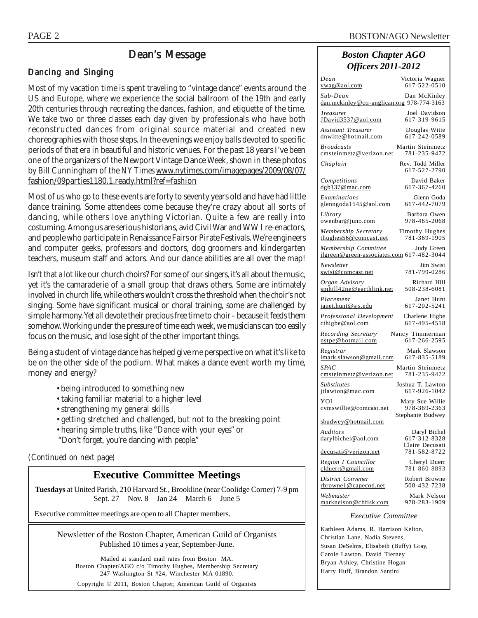## Dean's Message

### Dancing and Singing

Most of my vacation time is spent traveling to "vintage dance" events around the US and Europe, where we experience the social ballroom of the 19th and early 20th centuries through recreating the dances, fashion, and etiquette of the time. We take two or three classes each day given by professionals who have both reconstructed dances from original source material and created new choreographies with those steps. In the evenings we enjoy balls devoted to specific periods of that era in beautiful and historic venues. For the past 18 years I've been one of the organizers of the Newport Vintage Dance Week, shown in these photos by Bill Cunningham of the *NY Times* www.nytimes.com/imagepages/2009/08/07/ fashion/09parties1180.1.ready.html?ref=fashion

Most of us who go to these events are forty to seventy years old and have had little dance training. Some attendees come because they're crazy about all sorts of dancing, while others love anything Victorian. Quite a few are really into costuming. Among us are serious historians, avid Civil War and WW I re-enactors, and people who participate in Renaissance Fairs or Pirate Festivals. We're engineers and computer geeks, professors and doctors, dog groomers and kindergarten teachers, museum staff and actors. And our dance abilities are all over the map!

Isn't that a lot like our church choirs? For some of our singers, it's all about the music, yet it's the camaraderie of a small group that draws others. Some are intimately involved in church life, while others wouldn't cross the threshold when the choir's not singing. Some have significant musical or choral training, some are challenged by simple harmony. Yet all devote their precious free time to choir - because it feeds them somehow. Working under the pressure of time each week, we musicians can too easily focus on the music, and lose sight of the other important things.

Being a student of vintage dance has helped give me perspective on what it's like to be on the other side of the podium. What makes a dance event worth my time, money and energy?

- being introduced to something new
- taking familiar material to a higher level
- strengthening my general skills
- getting stretched and challenged, but not to the breaking point
- hearing simple truths, like "Dance with your eyes" or
- "Don't forget, you're dancing with *people*."

#### *(Continued on next page)*

## **Executive Committee Meetings**

**Tuesdays** at United Parish, 210 Harvard St., Brookline (near Coolidge Corner) 7-9 pm Sept. 27 Nov. 8 Jan 24 March 6 June 5

Executive committee meetings are open to all Chapter members.

Newsletter of the Boston Chapter, American Guild of Organists Published 10 times a year, September-June.

Mailed at standard mail rates from Boston MA. Boston Chapter/AGO c/o Timothy Hughes, Membership Secretary 247 Washington St #24, Winchester MA 01890.

Copyright © 2011, Boston Chapter, American Guild of Organists

## *Boston Chapter AGO Officers 2011-2012*

| Dean<br><u>vwag@aol.com</u>                                                                | Victoria Wagner<br>617-522-0510                     |  |  |  |
|--------------------------------------------------------------------------------------------|-----------------------------------------------------|--|--|--|
| Sub-Dean<br>dan.mckinley@ctr-anglican.org 978-774-3163                                     | Dan McKinley                                        |  |  |  |
| Treasurer<br>JDavid3537@aol.com                                                            | Joel Davidson<br>617-319-9615                       |  |  |  |
| <b>Assistant Treasurer</b><br>dnwitte@hotmail.com                                          | Douglas Witte<br>617-242-0589                       |  |  |  |
| <b>Broadcasts</b><br>cmsteinmetz@verizon.net                                               | Martin Steinmetz<br>781-235-9472                    |  |  |  |
| Chaplain                                                                                   | Rev. Todd Miller<br>617-527-2790                    |  |  |  |
| Competitions<br>$d$ gb137@mac.com                                                          | David Baker<br>617-367-4260                         |  |  |  |
| Examinations<br>glenngoda1545@aol.com                                                      | Glenn Goda<br>617-442-7079                          |  |  |  |
| Library<br>owenbar@juno.com                                                                | Barbara Owen<br>978-465-2068                        |  |  |  |
| Membership Secretary<br>thughes56@comcast.net                                              | Timothy Hughes<br>781-369-1905                      |  |  |  |
| Membership Committee Judy Green<br><u>jlgreen@green-associates.com</u> 617-482-3044        |                                                     |  |  |  |
| Newsletter<br>swist@comcast.net                                                            | Jim Swist<br>781-799-0286                           |  |  |  |
| Organ Advisory<br>smhill42ne@earthlink.net                                                 | Richard Hill<br>508-238-6081                        |  |  |  |
| Placement<br>janet.hunt@sjs.edu                                                            | Janet Hunt<br>617-202-5241                          |  |  |  |
| Professional Development<br>$\phi$ cthigbe@aol.com                                         | Charlene Higbe<br>617-495-4518                      |  |  |  |
| Recording Secretary<br>nstpe@hotmail.com                                                   | Nancy Timmerman<br>617-266-2595                     |  |  |  |
| Registrar<br>lmark.slawson@gmail.com                                                       | Mark Slawson<br>617-835-5189                        |  |  |  |
| SPAC<br>cmsteinmetz@verizon.net                                                            | Martin Steinmetz<br>781-235-9472                    |  |  |  |
| <b>Substitutes</b><br>jtlawton@mac.com                                                     | Joshua T. Lawton<br>617-926-1042                    |  |  |  |
| YOI<br>cvmswillie@comcast.net                                                              | Mary Sue Willie<br>978-369-2363<br>Stephanie Budwey |  |  |  |
| sbudwey@hotmail.com                                                                        |                                                     |  |  |  |
| Auditors<br>darylbichel@aol.com                                                            | Daryl Bichel<br>617-312-8328<br>Claire Decusati     |  |  |  |
| decusati@verizon.net                                                                       | 781-582-8722                                        |  |  |  |
| Region I Councillor<br>clduerr@gmail.com                                                   | Cheryl Duerr<br>781-860-8893                        |  |  |  |
| District Convener<br>rbrownel@capecod.net                                                  | Robert Browne<br>508-432-7238                       |  |  |  |
| Webmaster<br>marknelson@cbfisk.com                                                         | Mark Nelson<br>978-283-1909                         |  |  |  |
| <i>Executive Committee</i>                                                                 |                                                     |  |  |  |
| Kathleen Adams, R. Harrison Kelton,                                                        |                                                     |  |  |  |
| Christian Lane, Nadia Stevens,<br>$\mathbf{r}$<br>$\sim$ $\alpha$ $\alpha$<br>$\mathbf{1}$ |                                                     |  |  |  |

Susan DeSelms, Elisabeth (Buffy) Gray, Carole Lawton, David Tierney Bryan Ashley, Christine Hogan Harry Huff, Brandon Santini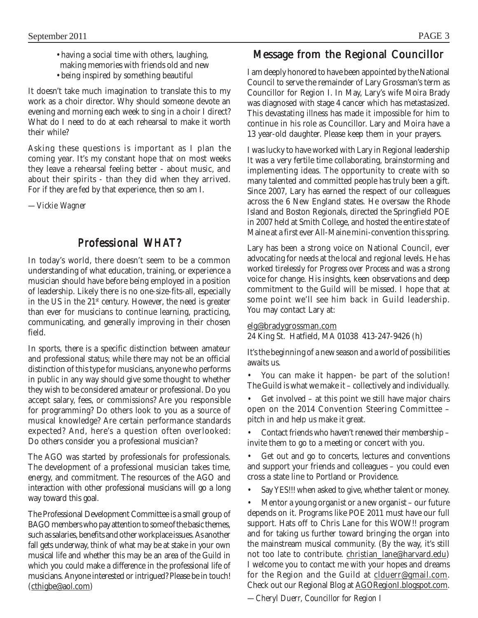- having a social time with others, laughing, making memories with friends old and new
- being inspired by something beautiful

It doesn't take much imagination to translate this to my work as a choir director. Why should someone devote an evening and morning each week to sing in a choir I direct? What do I need to do at each rehearsal to make it worth their while?

Asking these questions is important as I plan the coming year. It's my constant hope that on most weeks they leave a rehearsal feeling better - about music, and about their spirits - than they did when they arrived. For if they are fed by that experience, then so am I.

*—Vickie Wagner*

## Professional *WHAT*?

In today's world, there doesn't seem to be a common understanding of what education, training, or experience a musician should have before being employed in a position of leadership. Likely there is no one-size-fits-all, especially in the US in the  $21<sup>st</sup>$  century. However, the need is greater than ever for musicians to continue learning, practicing, communicating, and generally improving in their chosen field.

In sports, there is a specific distinction between amateur and professional status; while there may not be an official distinction of this type for musicians, anyone who performs in public in any way should give some thought to whether they wish to be considered amateur or professional. Do you accept salary, fees, or commissions? Are you responsible for programming? Do others look to you as a source of musical knowledge? Are certain performance standards expected? And, here's a question often overlooked: Do others consider you a professional musician?

The AGO was started by professionals for professionals. The development of a professional musician takes time, energy, and commitment. The resources of the AGO and interaction with other professional musicians will go a long way toward this goal.

The Professional Development Committee is a small group of BAGO members who pay attention to some of the basic themes, such as salaries, benefits and other workplace issues. As another fall gets underway, think of what may be at stake in your own musical life and whether this may be an area of the Guild in which you could make a difference in the professional life of musicians. Anyone interested or intrigued? Please be in touch! (cthigbe@aol.com)

## Message from the Regional Councillor

I am deeply honored to have been appointed by the National Council to serve the remainder of Lary Grossman's term as Councillor for Region I. In May, Lary's wife Moira Brady was diagnosed with stage 4 cancer which has metastasized. This devastating illness has made it impossible for him to continue in his role as Councillor. Lary and Moira have a 13 year-old daughter. Please keep them in your prayers.

I was lucky to have worked with Lary in Regional leadership It was a very fertile time collaborating, brainstorming and implementing ideas. The opportunity to create with so many talented and committed people has truly been a gift. Since 2007, Lary has earned the respect of our colleagues across the 6 New England states. He oversaw the Rhode Island and Boston Regionals, directed the Springfield POE in 2007 held at Smith College, and hosted the entire state of Maine at a first ever All-Maine mini-convention this spring.

Lary has been a strong voice on National Council, ever advocating for needs at the local and regional levels. He has worked tirelessly for *Progress over Process* and was a strong voice for change. His insights, keen observations and deep commitment to the Guild will be missed. I hope that at some point we'll see him back in Guild leadership. You may contact Lary at:

elg@bradygrossman.com

24 King St. Hatfield, MA 01038 413-247-9426 (h)

It's the beginning of a new season and a world of possibilities awaits us.

• You can make it happen- be part of the solution! The Guild is what we make it – collectively and individually.

• Get involved – at this point we still have major chairs open on the 2014 Convention Steering Committee – pitch in and help us make it great.

• Contact friends who haven't renewed their membership – invite them to go to a meeting or concert with you.

Get out and go to concerts, lectures and conventions and support your friends and colleagues – you could even cross a state line to Portland or Providence.

Say YES!!! when asked to give, whether talent or money.

Mentor a young organist or a new organist – our future depends on it. Programs like POE 2011 must have our full support. Hats off to Chris Lane for this WOW!! program and for taking us further toward bringing the organ into the mainstream musical community. (By the way, it's still not too late to contribute. christian\_lane@harvard.edu) I welcome you to contact me with your hopes and dreams for the Region and the Guild at clduerr@gmail.com. Check out our Regional Blog at AGORegionI.blogspot.com.

*—Cheryl Duerr, Councillor for Region I*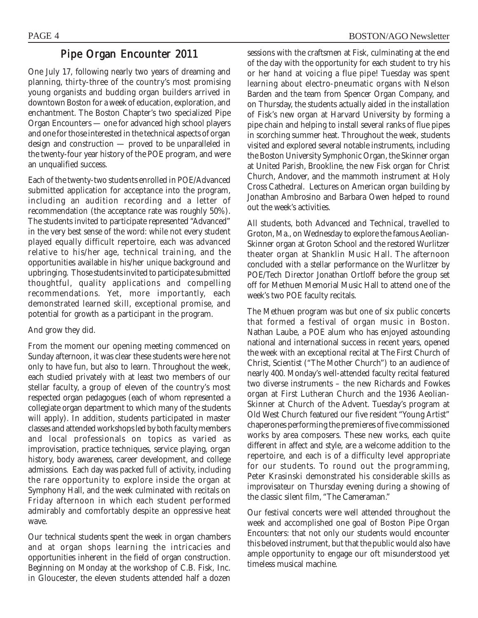## Pipe Organ Encounter 2011

One July 17, following nearly two years of dreaming and planning, thirty-three of the country's most promising young organists and budding organ builders arrived in downtown Boston for a week of education, exploration, and enchantment. The Boston Chapter's two specialized Pipe Organ Encounters — one for advanced high school players and one for those interested in the technical aspects of organ design and construction — proved to be unparalleled in the twenty-four year history of the POE program, and were an unqualified success.

Each of the twenty-two students enrolled in POE/Advanced submitted application for acceptance into the program, including an audition recording and a letter of recommendation (the acceptance rate was roughly 50%). The students invited to participate represented "Advanced" in the very best sense of the word: while not every student played equally difficult repertoire, each was advanced relative to his/her age, technical training, and the opportunities available in his/her unique background and upbringing. Those students invited to participate submitted thoughtful, quality applications and compelling recommendations. Yet, more importantly, each demonstrated learned skill, exceptional promise, and potential for growth as a participant in the program.

And grow they did.

From the moment our opening meeting commenced on Sunday afternoon, it was clear these students were here not only to have fun, but also to learn. Throughout the week, each studied privately with at least two members of our stellar faculty, a group of eleven of the country's most respected organ pedagogues (each of whom represented a collegiate organ department to which many of the students will apply). In addition, students participated in master classes and attended workshops led by both faculty members and local professionals on topics as varied as improvisation, practice techniques, service playing, organ history, body awareness, career development, and college admissions. Each day was packed full of activity, including the rare opportunity to explore inside the organ at Symphony Hall, and the week culminated with recitals on Friday afternoon in which each student performed admirably and comfortably despite an oppressive heat wave.

Our technical students spent the week in organ chambers and at organ shops learning the intricacies and opportunities inherent in the field of organ construction. Beginning on Monday at the workshop of C.B. Fisk, Inc. in Gloucester, the eleven students attended half a dozen sessions with the craftsmen at Fisk, culminating at the end of the day with the opportunity for each student to try his or her hand at voicing a flue pipe! Tuesday was spent learning about electro-pneumatic organs with Nelson Barden and the team from Spencer Organ Company, and on Thursday, the students actually aided in the installation of Fisk's new organ at Harvard University by forming a pipe chain and helping to install several ranks of flue pipes in scorching summer heat. Throughout the week, students visited and explored several notable instruments, including the Boston University Symphonic Organ, the Skinner organ at United Parish, Brookline, the new Fisk organ for Christ Church, Andover, and the mammoth instrument at Holy Cross Cathedral. Lectures on American organ building by Jonathan Ambrosino and Barbara Owen helped to round out the week's activities.

All students, both Advanced and Technical, travelled to Groton, Ma., on Wednesday to explore the famous Aeolian-Skinner organ at Groton School and the restored Wurlitzer theater organ at Shanklin Music Hall. The afternoon concluded with a stellar performance on the Wurlitzer by POE/Tech Director Jonathan Ortloff before the group set off for Methuen Memorial Music Hall to attend one of the week's two POE faculty recitals.

The Methuen program was but one of six public concerts that formed a festival of organ music in Boston. Nathan Laube, a POE alum who has enjoyed astounding national and international success in recent years, opened the week with an exceptional recital at The First Church of Christ, Scientist ("The Mother Church") to an audience of nearly 400. Monday's well-attended faculty recital featured two diverse instruments – the new Richards and Fowkes organ at First Lutheran Church and the 1936 Aeolian-Skinner at Church of the Advent. Tuesday's program at Old West Church featured our five resident "Young Artist" chaperones performing the premieres of five commissioned works by area composers. These new works, each quite different in affect and style, are a welcome addition to the repertoire, and each is of a difficulty level appropriate for our students. To round out the programming, Peter Krasinski demonstrated his considerable skills as *improvisateur* on Thursday evening during a showing of the classic silent film, "The Cameraman."

Our festival concerts were well attended throughout the week and accomplished one goal of Boston Pipe Organ Encounters: that not only our students would encounter this beloved instrument, but that the public would also have ample opportunity to engage our oft misunderstood yet timeless musical machine.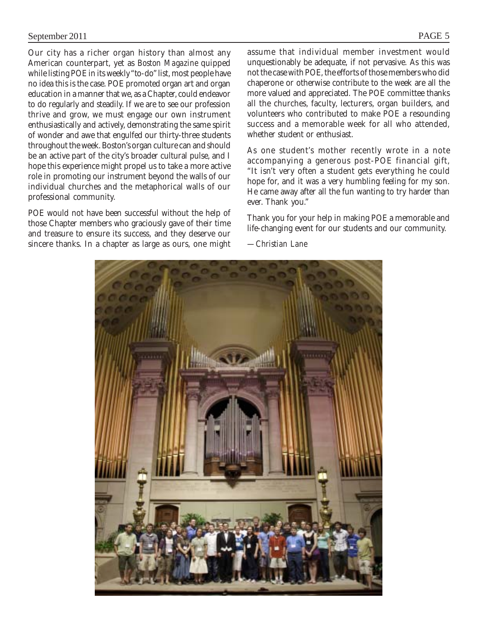Our city has a richer organ history than almost any American counterpart, yet as *Boston Magazine* quipped while listing POE in its weekly "to-do" list, most people have no idea this is the case. POE promoted organ art and organ education in a manner that we, as a Chapter, could endeavor to do regularly and steadily. If we are to see our profession thrive and grow, we must engage our own instrument enthusiastically and actively, demonstrating the same spirit of wonder and awe that engulfed our thirty-three students throughout the week. Boston's organ culture can and should be an active part of the city's broader cultural pulse, and I hope this experience might propel us to take a more active role in promoting our instrument beyond the walls of our individual churches and the metaphorical walls of our professional community.

POE would not have been successful without the help of those Chapter members who graciously gave of their time and treasure to ensure its success, and they deserve our sincere thanks. In a chapter as large as ours, one might assume that individual member investment would unquestionably be adequate, if not pervasive. As this was not the case with POE, the efforts of those members who did chaperone or otherwise contribute to the week are all the more valued and appreciated. The POE committee thanks all the churches, faculty, lecturers, organ builders, and volunteers who contributed to make POE a resounding success and a memorable week for all who attended, whether student or enthusiast.

As one student's mother recently wrote in a note accompanying a generous post-POE financial gift, "It isn't very often a student gets everything he could hope for, and it was a very humbling feeling for my son. He came away after all the fun wanting to try harder than ever. Thank you."

Thank you for your help in making POE a memorable and life-changing event for our students and our community.

*—Christian Lane*

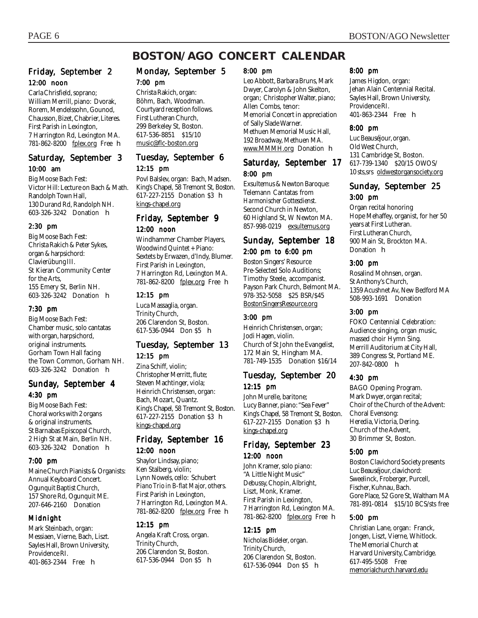## **BOSTON/AGO CONCERT CALENDAR**

#### Friday, September 2 12:00 noon

Carla Chrisfield, soprano; William Merrill, piano: Dvorak, Rorem, Mendelssohn, Gounod, Chausson, Bizet, Chabrier, Literes. First Parish in Lexington, 7 Harrington Rd, Lexington MA. 781-862-8200 <u>fplex.org</u> Free **h** 

#### Saturday, September 3 10:00 am

Big Moose Bach Fest: Victor Hill: Lecture on Bach & Math. Randolph Town Hall, 130 Durand Rd, Randolph NH. 603-326-3242 Donation h

#### 2:30 pm

Big Moose Bach Fest: Christa Rakich & Peter Sykes, organ & harpsichord: Clavierübung III. St Kieran Community Center for the Arts, 155 Emery St, Berlin NH. 603-326-3242 Donation h

#### 7:30 pm

Big Moose Bach Fest: Chamber music, solo cantatas with organ, harpsichord, original instruments. Gorham Town Hall facing the Town Common, Gorham NH. 603-326-3242 Donation h

#### Sunday, September 4 4:30 pm

Big Moose Bach Fest: Choral works with 2 organs & original instruments. St Barnabas Episcopal Church, 2 High St at Main, Berlin NH. 603-326-3242 Donation h

#### 7:00 pm

Maine Church Pianists & Organists: Annual Keyboard Concert. Ogunquit Baptist Church, 157 Shore Rd, Ogunquit ME. 207-646-2160 Donation

#### Midnight

Mark Steinbach, organ: Messiaen, Vierne, Bach, Liszt. Sayles Hall, Brown University, Providence RI. 401-863-2344 Free h

#### Monday, September 5 7:00 pm

Christa Rakich, organ: Böhm, Bach, Woodman. Courtyard reception follows. First Lutheran Church, 299 Berkeley St, Boston. 617-536-8851 \$15/10 music@flc-boston.org

### Tuesday, September 6 12:15 pm

Povl Balslev, organ: Bach, Madsen. King's Chapel, 58 Tremont St, Boston. 617-227-2155 Donation \$3 h kings-chapel.org

#### Friday, September 9 12:00 noon

Windhammer Chamber Players, Woodwind Quintet + Piano: Sextets by Erwazen, d'Indy, Blumer. First Parish in Lexington, 7 Harrington Rd, Lexington MA. 781-862-8200 fplex.org Free h

#### 12:15 pm

Luca Massaglia, organ. Trinity Church, 206 Clarendon St, Boston. 617-536-0944 Don \$5 h

#### Tuesday, September 13 12:15 pm

Zina Schiff, violin; Christopher Merritt, flute; Steven Machtinger, viola; Heinrich Christensen, organ: Bach, Mozart, Quantz. King's Chapel, 58 Tremont St, Boston. 617-227-2155 Donation \$3 h kings-chapel.org

#### Friday, September 16 12:00 noon

Shaylor Lindsay, piano; Ken Stalberg, violin; Lynn Nowels, cello: Schubert *Piano Trio in B-flat Major,* others. First Parish in Lexington, 7 Harrington Rd, Lexington MA. 781-862-8200 fplex.org Free h

#### 12:15 pm

Angela Kraft Cross, organ. Trinity Church, 206 Clarendon St, Boston. 617-536-0944 Don \$5 h

#### 8:00 pm

Leo Abbott, Barbara Bruns, Mark Dwyer, Carolyn & John Skelton, organ; Christopher Walter, piano; Allen Combs, tenor: Memorial Concert in appreciation of Sally Slade Warner. Methuen Memorial Music Hall, 192 Broadway, Methuen MA. www.MMMH.org Donation h

#### Saturday, September 17 8:00 pm

Exsultemus & Newton Baroque: Telemann Cantatas from *Harmonischer Gottesdienst.* Second Church in Newton, 60 Highland St, W Newton MA. 857-998-0219 exsultemus.org

#### Sunday, September 18 2:00 pm to 6:00 pm

Boston Singers' Resource Pre-Selected Solo Auditions; Timothy Steele, accompanist. Payson Park Church, Belmont MA. 978-352-5058 \$25 BSR/\$45 BostonSingersResource.org

#### 3:00 pm

Heinrich Christensen, organ; Jodi Hagen, violin. Church of St John the Evangelist, 172 Main St, Hingham MA. 781-749-1535 Donation \$16/14

#### Tuesday, September 20 12:15 pm

John Murelle, baritone; Lucy Banner, piano: "Sea Fever" King's Chapel, 58 Tremont St, Boston. 617-227-2155 Donation \$3 h kings-chapel.org

#### Friday, September 23 12:00 noon

John Kramer, solo piano: "A Little Night Music" Debussy, Chopin, Albright, Liszt, Monk, Kramer. First Parish in Lexington, 7 Harrington Rd, Lexington MA. 781-862-8200 fplex.org Free h

#### 12:15 pm

Nicholas Bideler, organ. Trinity Church, 206 Clarendon St, Boston. 617-536-0944 Don \$5 h

#### 8:00 pm

James Higdon, organ: Jehan Alain Centennial Recital. Sayles Hall, Brown University, Providence RI. 401-863-2344 Free h

#### 8:00 pm

Luc Beauséjour, organ. Old West Church, 131 Cambridge St, Boston. 617-739-1340 \$20/15 OWOS/ 10 sts,srs oldwestorgansociety.org

### Sunday, September 25 3:00 pm

Organ recital honoring Hope Mehaffey, organist, for her 50 years at First Lutheran. First Lutheran Church, 900 Main St, Brockton MA. Donation **h** 

#### 3:00 pm

Rosalind Mohnsen, organ. St Anthony's Church, 1359 Acushnet Av, New Bedford MA 508-993-1691 Donation

#### 3:00 pm

FOKO Centennial Celebration: Audience singing, organ music, massed choir Hymn Sing. Merrill Auditorium at City Hall, 389 Congress St, Portland ME. 207-842-0800 h

#### 4:30 pm

BAGO Opening Program. Mark Dwyer, organ recital; Choir of the Church of the Advent: Choral Evensong: Heredia, Victoria, Dering. Church of the Advent, 30 Brimmer St, Boston.

#### 5:00 pm

Boston Clavichord Society presents Luc Beauséjour, clavichord: Sweelinck, Froberger, Purcell, Fischer, Kuhnau, Bach. Gore Place, 52 Gore St, Waltham MA 781-891-0814 \$15/10 BCS/sts free

#### 5:00 pm

Christian Lane, organ: Franck, Jongen, Liszt, Vierne, Whitlock. The Memorial Church at Harvard University, Cambridge. 617-495-5508 Free memorialchurch.harvard.edu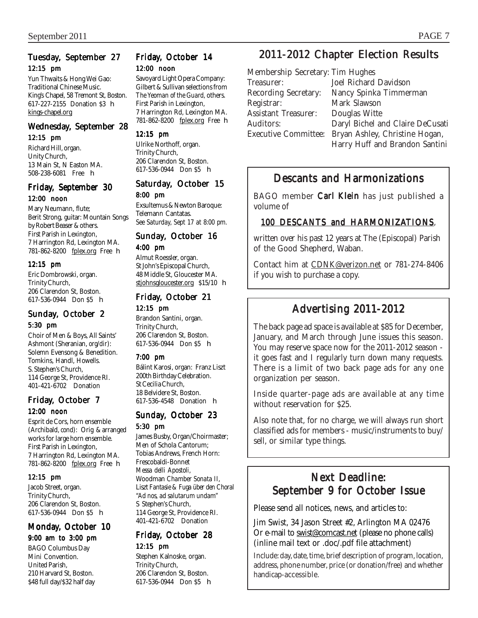### Tuesday, September 27 12:15 pm

Yun Thwaits & Hong Wei Gao: Traditional Chinese Music. King's Chapel, 58 Tremont St, Boston. 617-227-2155 Donation \$3 h kings-chapel.org

### Wednesday, September 28

12:15 pm

Richard Hill, organ. Unity Church, 13 Main St, N Easton MA. 508-238-6081 Free h

#### Friday, September 30 12:00 noon

Mary Neumann, flute; Berit Strong, guitar: Mountain Songs

by Robert Beaser & others. First Parish in Lexington, 7 Harrington Rd, Lexington MA. 781-862-8200 fplex.org Free h

#### 12:15 pm

Eric Dombrowski, organ. Trinity Church, 206 Clarendon St, Boston. 617-536-0944 Don \$5 h

#### Sunday, October 2 5:30 pm

Choir of Men & Boys, All Saints' Ashmont (Sheranian, *org/dir*): Solemn Evensong & Benedition. Tomkins, Handl, Howells. S. Stephen's Church, 114 George St, Providence RI. 401-421-6702 Donation

### Friday, October 7 12:00 noon

Esprit de Cors, horn ensemble (Archibald, *cond*): Orig & arranged works for large horn ensemble. First Parish in Lexington, 7 Harrington Rd, Lexington MA. 781-862-8200 fplex.org Free **h** 

#### 12:15 pm

Jacob Street, organ. Trinity Church, 206 Clarendon St, Boston. 617-536-0944 Don \$5 h

## Monday, October 10

9:00 am to 3:00 pm BAGO Columbus Day Mini Convention. United Parish, 210 Harvard St, Boston. \$48 full day/\$32 half day

#### Friday, October 14 12:00 noon

Savoyard Light Opera Company: Gilbert & Sullivan selections from *The Yeoman of the Guard,* others. First Parish in Lexington, 7 Harrington Rd, Lexington MA. 781-862-8200 fplex.org Free h

#### 12:15 pm

Ulrike Northoff, organ. Trinity Church, 206 Clarendon St, Boston. 617-536-0944 Don \$5 h

#### Saturday, October 15 8:00 pm

Exsultemus & Newton Baroque: Telemann Cantatas. *See Saturday, Sept 17 at 8:00 pm.*

#### Sunday, October 16 4:00 pm

Almut Roessler, organ. St John's Episcopal Church, 48 Middle St, Gloucester MA. stjohnsgloucester.org \$15/10 h

# Friday, October 21

12:15 pm Brandon Santini, organ. Trinity Church, 206 Clarendon St, Boston. 617-536-0944 Don \$5 h

#### 7:00 pm

Bálint Karosi, organ: Franz Liszt 200th Birthday Celebration. St Cecilia Church, 18 Belvidere St, Boston. 617-536-4548 Donation h

#### Sunday, October 23 5:30 pm

James Busby, Organ/Choirmaster; Men of Schola Cantorum; Tobias Andrews, French Horn: Frescobaldi-Bonnet *Messa delli Apostoli,* Woodman *Chamber Sonata II,* Liszt *Fantasie & Fuga über den Choral "Ad nos, ad salutarum undam"* S Stephen's Church, 114 George St, Providence RI. 401-421-6702 Donation

### Friday, October 28 12:15 pm

Stephen Kalnoske, organ. Trinity Church, 206 Clarendon St, Boston. 617-536-0944 Don \$5 h

# 2011-2012 Chapter Election Results

| Membership Secretary        |
|-----------------------------|
| Treasurer:                  |
| <b>Recording Secretary:</b> |
| Registrar:                  |
| <b>Assistant Treasurer:</b> |
| Auditors:                   |
| <b>Executive Committee:</b> |
|                             |

 $\gamma$ : Tim Hughes Joel Richard Davidson Nancy Spinka Timmerman Mark Slawson Douglas Witte Daryl Bichel and Claire DeCusati Bryan Ashley, Christine Hogan, Harry Huff and Brandon Santini

## Descants and Harmonizations

BAGO member Carl Klein has just published a volume of

### 100 DESCANTS and HARMONIZATIONS,

written over his past 12 years at The (Episcopal) Parish of the Good Shepherd, Waban.

Contact him at CDNK@verizon.net or 781-274-8406 if you wish to purchase a copy.

## Advertising 2011-2012

The back page ad space is available at \$85 for December, January, and March through June issues this season. You may reserve space now for the 2011-2012 season it goes fast and I regularly turn down many requests. There is a limit of two back page ads for any one organization per season.

Inside quarter-page ads are available at any time without reservation for \$25.

Also note that, for no charge, we will always run short classified ads for members - music/instruments to buy/ sell, or similar type things.

## Next Deadline: September 9 for October Issue

Please send all notices, news, and articles to:

Jim Swist, 34 Jason Street #2, Arlington MA 02476 Or e-mail to swist@comcast.net (please no phone calls) (inline mail text or .doc/.pdf file attachment)

Include: day, date, time, brief description of program, location, address, phone number, price (or donation/free) and whether handicap-accessible.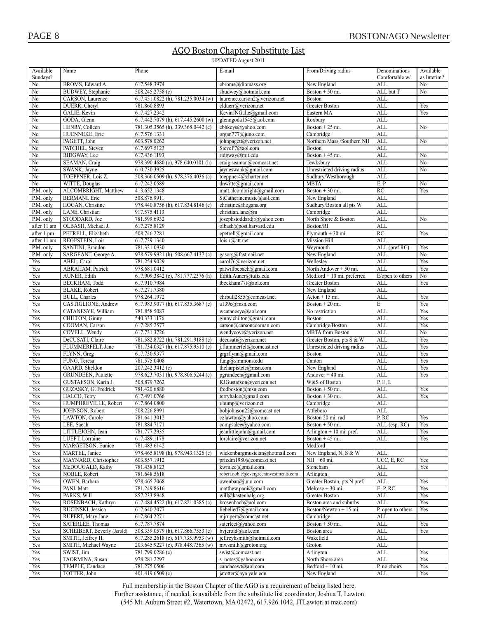### AGO Boston Chapter Substitute List

**UPDATED August 2011** 

| Available<br>Sundays?     | Name                                      | Phone                                                                    | E-mail                                                    | From/Driving radius                          | Denominations<br>Comfortable w/ | Available<br>as Interim? |
|---------------------------|-------------------------------------------|--------------------------------------------------------------------------|-----------------------------------------------------------|----------------------------------------------|---------------------------------|--------------------------|
| No                        | BROMS, Edward A.                          | 617.548.3974                                                             | ebroms@diomass.org                                        | New England                                  | ALL                             | No                       |
| No                        | <b>BUDWEY, Stephanie</b>                  | 508.245.2758 (c)                                                         | sbudwey@hotmail.com                                       | Boston $+50$ mi.                             | ALL but T                       | No                       |
| No                        | CARSON, Laurence                          | $617.451.0822$ (h), $781.235.0034$ (w)                                   | laurence.carson2@verizon.net                              | <b>Boston</b>                                | ALL                             |                          |
| No<br>No                  | DUERR, Cheryl<br>GALIE, Kevin             | 781.860.8893<br>617.427.2342                                             | clduerr@/verizon.net<br>KevinJNGalie@gmail.com            | <b>Greater Boston</b><br>Eastern MA          | ALL<br><b>ALL</b>               | Yes<br>Yes               |
| No                        | GODA, Glenn                               | 617.442.7079 (h), 617.445.2600 (w)                                       | glenngoda1545@aol.com                                     | Roxbury                                      | ALL                             |                          |
| No                        | HENRY, Colleen                            | 781.305.3565 (h), 339.368.0442 (c)                                       | cbhkeys@yahoo.com                                         | Boston + $25$ mi.                            | ALL                             | No                       |
| No                        | HUENNEKE, Eric                            | 617.576.1331                                                             | organ777@juno.com                                         | Cambridge                                    | ALL                             |                          |
| No                        | PAGETT, John                              | 603.578.0262                                                             | johnpagett@verizon.net                                    | Northern Mass./Southern NH                   | ALL                             | No                       |
| No                        | PATCHEL, Steven                           | 617.697.5123                                                             | SteveP7@aol.com                                           | <b>Boston</b>                                | ALL                             |                          |
| No                        | RIDGWAY, Lee                              | 617.436.1193                                                             | ridgway@mit.edu                                           | Boston $+45$ mi.                             | ALL                             | No                       |
| $\overline{No}$<br>No     | SEAMAN, Craig<br>SWANK, Jayne             | 978.390.4680 (c), 978.640.0101 (h)<br>610.730.3925                       | craig.seaman@comcast.net<br>jayneswank@gmail.com          | Tewksbury<br>Unrestricted driving radius     | ALL<br><b>ALL</b>               | No<br>No                 |
| $\overline{No}$           | TOEPPNER, Lois Z.                         | 508.366.0509 (h), 978.376.4036 (c)                                       | toeppner4@charter.net                                     | Sudbury/Westborough                          | ALL                             |                          |
| No                        | WITTE, Douglas                            | 617.242.0589                                                             | dnwitte@gmail.com                                         | <b>MBTA</b>                                  | E, P                            | No                       |
| P.M. only                 | ALCOMBRIGHT, Matthew                      | 413.652.1348                                                             | matt.alcombright@gmail.com                                | Boston + $30$ mi.                            | RC                              | Yes                      |
| P.M. only                 | <b>BERMANI</b> . Eric                     | 508.876.9911                                                             | StCatherinemusic@aol.com                                  | New England                                  | ALL                             |                          |
| P.M. only                 | HOGAN, Christine                          | 978.440.8756 (h), 617.834.8146 (c)                                       | christine@hogangs.org                                     | Sudbury/Boston all pts W                     | ALL                             |                          |
| P.M. only                 | LANE, Christian                           | 917.575.4113                                                             | christian.lane@m                                          | Cambridge                                    | <b>ALL</b>                      |                          |
| P.M. only                 | STODDARD, Joe                             | 781.599.6932                                                             | josephstoddardjr@yahoo.com                                | North Shore & Boston                         | <b>ALL</b>                      | No                       |
| after 11 am<br>after 1 pm | OLBASH, Michael J.<br>PETRELL, Elizabeth  | 617.275.8129<br>508.746.2281                                             | olbash@post.harvard.edu<br>epetrell@gmail.com             | Boston/RI<br>Plymouth $+30$ mi.              | ALL<br>RC                       | Yes                      |
| after 11 am               | REGESTEIN, Lois                           | 617.739.1340                                                             | lois.r@att.net                                            | Mission Hill                                 | ALL                             |                          |
| P.M. only                 | SANTINI, Brandon                          | 781.331.0930                                                             |                                                           | Weymouth                                     | ALL (pref RC)                   | Yes                      |
| P.M. only                 | SARGEANT, George A.                       | 978.579.9921 (h), 508.667.4137 (c)                                       | gasorg@fastmail.net                                       | New England                                  | ALL                             | No                       |
| Yes                       | ABEL, Carol                               | 781.254.9029                                                             | carol76@verizon.net                                       | Wellesley                                    | ALL                             | Yes                      |
| Yes                       | ABRAHAM, Patrick                          | 978.681.0412                                                             | patwillbebach@gmail.com                                   | North Andover + 50 mi.                       | ALL                             | Yes                      |
| Yes                       | AUNER, Edith                              | 617.909.3842 (c), 781.777.2376 (h)                                       | Edith.Auner@tufts.edu                                     | $Medford + 10 mi$ . preferred                | E/open to others                | No                       |
| Yes                       | BECKHAM, Todd                             | 617.910.7984                                                             | tbeckham77t@aol.com                                       | Greater Boston                               | ALL                             | Yes                      |
| Yes<br>Yes                | BLAKE, Robert<br><b>BULL</b> , Charles    | 617.271.7380<br>978.264.1972                                             | chrbull2855@comcast.net                                   | New England<br>$Action + 15 mi$ .            | <b>ALL</b><br><b>ALL</b>        | Yes                      |
| Yes                       | CASTIGLIONE, Andrew                       | 617.983.9077 (h), 617.835.3687 (c)                                       | a139c@msn.com                                             | Boston $+20$ mi.                             | E                               | Yes                      |
| Yes                       | CATANESYE, William                        | 781.858.5087                                                             | wcatanesye@aol.com                                        | No restriction                               | <b>ALL</b>                      | Yes                      |
| Yes                       | CHILTON, Ginny                            | 540.333.1176                                                             | ginny.chilton@gmail.com                                   | <b>Boston</b>                                | ALL                             | Yes                      |
| Yes                       | COOMAN, Carson                            | 617.285.2577                                                             | carson@carsoncooman.com                                   | Cambridge/Boston                             | ALL                             | Yes                      |
| Yes                       | COVELL, Wendy                             | 617.731.3726                                                             | wendycove@verizon.net                                     | <b>MBTA</b> from Boston                      | ALL                             | No                       |
| Yes                       | DeCUSATI, Claire                          | 781.582.8722 (h), 781.291.9188 (c)                                       | decusati@verizon.net                                      | Greater Boston, pts S & W                    | ALL                             | Yes                      |
| Yes<br>Yes                | FLUMMERFELT, Jane<br>FLYNN, Greg          | 781.734.0327 (h), 617.875.9310 (c)<br>617.730.9377                       | j.flummerfelt@comcast.net<br>grgrflynn@gmail.com          | Unrestricted driving radius<br><b>Boston</b> | <b>ALL</b><br><b>ALL</b>        | Yes<br>Yes               |
| Yes                       | FUNG, Teresa                              | 781.575.0408                                                             | $fung(a)$ simmons.edu                                     | Canton                                       | <b>ALL</b>                      | Yes                      |
| Yes                       | GAARD, Sheldon                            | 207.242.3412 (c)                                                         | theharpistetc@msn.com                                     | New England                                  | <b>ALL</b>                      | Yes                      |
| Yes                       | <b>GRUNDEEN, Paulette</b>                 | 978.623.7031 (h), 978.806.5244 (c)                                       | pgrundeen@gmail.com                                       | Andover + 40 mi.                             | ALL                             | Yes                      |
| Yes                       | GUSTAFSON, Karin J.                       | 508.879.7262                                                             | KJGustafson@verizon.net                                   | W&S of Boston                                | P, E, L                         |                          |
| Yes                       | GUZASKY, G. Fredrick                      | 781.420.6880                                                             | fredboston@msn.com                                        | Boston $+50$ mi.                             | ALL                             | Yes                      |
| Yes                       | HALCO, Terry                              | 617.491.0766                                                             | terryhalco@gmail.com                                      | Boston $+30$ mi.                             | ALL                             | Yes                      |
| Yes                       | HUMPHREVILLE, Robert                      | 617.864.0800                                                             | r.hump@verizon.net                                        | Cambridge                                    | <b>ALL</b>                      |                          |
| Yes<br>Yes                | JOHNSON, Robert<br>LAWTON, Carole         | 508.226.8991<br>781.641.3012                                             | bobjohnson22@comcast.net<br>czlawton@yahoo.com            | Attleboro<br>Boston 20 mi. rad               | <b>ALL</b><br>P, RC             | Yes                      |
| Yes                       | LEE, Saeah                                | 781.884.7171                                                             | compsalee@yahoo.com                                       | Boston + 50 mi.                              | ALL (esp. RC)                   | Yes                      |
| Yes                       | LITTLEJOHN, Jean                          | 781.777.2935                                                             | jeanlittlejohn@gmail.com                                  | Arlington $+10$ mi. pref.                    | ALL                             | Yes                      |
| Yes                       | LUEFT, Lorraine                           | 617.489.1178                                                             | lorclaire@verizon.net                                     | Boston $+45$ mi.                             | ALL                             | Yes                      |
| Yes                       | MARGETSON, Eunice                         | 781.483.6142                                                             |                                                           | Medford                                      |                                 |                          |
| Yes                       | MARTEL, Janice                            | 978.465.8198 (h), 978.943.1326 (c)                                       | wickenburgmusician@hotmail.com                            | New England, N, S & W                        | ALL                             |                          |
| Yes                       | MAYNARD, Christopher                      | 603.557.1912                                                             | prfcdm1980@comcast.net                                    | NH + 60 mi.                                  | UCC, E, RC                      | Yes                      |
| Yes                       | McDOUGALD, Kathy<br>NOBLE, Robert         | 781.438.8123<br>781.648.5618                                             | kwmlee@gmail.com<br>robert.noble@evergreeninvestments.com | Stoneham<br>Arlington                        | ALL<br>ALL                      | Yes                      |
| Yes<br>Yes                | OWEN, Barbara                             | 978.465.2068                                                             | owenbar@juno.com                                          | Greater Boston, pts N pref.                  | ALL                             | Yes                      |
| Yes                       | PANI, Matt                                | 781.249.8616                                                             | matthew.pani $(a)$ gmail.com                              | Melrose + 30 mi.                             | E, P, RC                        | Yes                      |
| Yes                       | PARKS, Will                               | 857.233.8948                                                             | will@kastenbalg.org                                       | Greater Boston                               | ALL                             | Yes                      |
| Yes                       | ROSENBACH, Kathryn                        | 617.484.4522 (h), 617.821.0385 (c)                                       | krosenbach@aol.com                                        | Boston area and suburbs                      | ALL                             | Yes                      |
| Yes                       | RUCINSKI, Jessica                         | 617.640.2077                                                             | liebelied7@gmail.com                                      | Boston/Newton + 15 mi.                       | P, open to others               | Yes                      |
| Yes                       | RUPERT, Mary Jane                         | 617.864.2271                                                             | mjrupert@comcast.net                                      | Cambridge                                    | ALL                             |                          |
| Yes                       | SATERLEE, Thomas                          | 617.787.7874                                                             | saterleet@yahoo.com                                       | Boston + 50 mi.                              | ALL                             | Yes                      |
| Yes                       | SCHEIBERT, Beverly (Jerold)               | 508.339.0579 (h), 617.866.7553 (c)                                       | bvjerold@aol.com                                          | Boston area<br>Wakefield                     | ALL<br>ALL                      | Yes                      |
| Yes<br>Yes                | SMITH, Jeffrey H.<br>SMITH, Michael Wayne | 617.285.2618 (c), 617.735.9953 (w)<br>203.645.9227 (c), 978.448.7365 (w) | jeffreyhsmith@hotmail.com<br>mwsmith@groton.org           | Groton                                       | ALL                             |                          |
| Yes                       | SWIST, Jim                                | 781.799.0286 (c)                                                         | swist@comcast.net                                         | Arlington                                    | ALL                             | Yes                      |
| Yes                       | TAORMINA, Susan                           | 978.281.2297                                                             | s notes@yahoo.com                                         | North Shore area                             | ALL                             | Yes                      |
| Yes                       | TEMPLE, Candace                           | 781.275.0506                                                             | candacewt@aol.com                                         | Bedford + 10 mi.                             | P, no choirs                    | Yes                      |
| Yes                       | TOTTER, John                              | 401.419.6509 (c)                                                         | jatotter@aya.yale.edu                                     | New England                                  | ALL                             | Yes                      |

Full membership in the Boston Chapter of the AGO is a requirement of being listed here.

Further assistance, if needed, is available from the substitute list coordinator, Joshua T. Lawton (545 Mt. Auburn Street #2, Watertown, MA 02472, 617.926.1042, JTLawton at mac.com)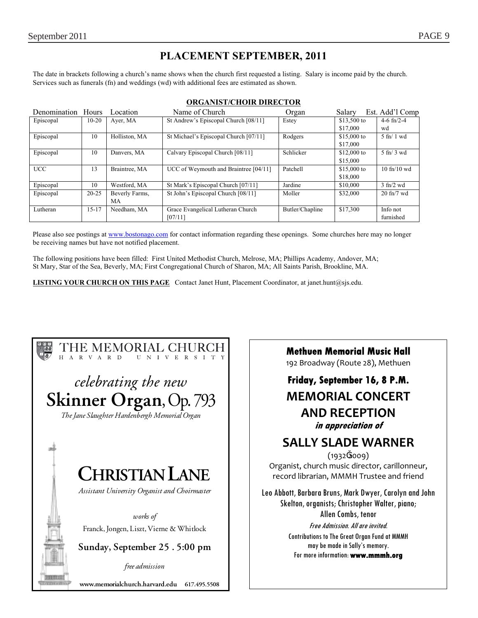## **PLACEMENT SEPTEMBER, 2011**

The date in brackets following a church's name shows when the church first requested a listing. Salary is income paid by the church. Services such as funerals (fn) and weddings (wd) with additional fees are estimated as shown.

| Denomination Hours |           | Location       | Name of Church                        | Organ           | Salary       | Est. Add'l Comp               |
|--------------------|-----------|----------------|---------------------------------------|-----------------|--------------|-------------------------------|
| Episcopal          | $10 - 20$ | Ayer, MA       | St Andrew's Episcopal Church [08/11]  | Estey           | \$13,500 to  | 4-6 $fn/2-4$                  |
|                    |           |                |                                       |                 | \$17,000     | wd                            |
| Episcopal          | 10        | Holliston, MA  | St Michael's Episcopal Church [07/11] | Rodgers         | $$15,000$ to | $5 \text{ ft} / 1 \text{ wd}$ |
|                    |           |                |                                       |                 | \$17,000     |                               |
| Episcopal          | 10        | Danvers, MA    | Calvary Episcopal Church [08/11]      | Schlicker       | \$12,000 to  | $5 \text{ ft}$ 3 wd           |
|                    |           |                |                                       |                 | \$15,000     |                               |
| <b>UCC</b>         | 13        | Braintree, MA  | UCC of Weymouth and Braintree [04/11] | Patchell        | \$15,000 to  | $10$ fn/ $10$ wd              |
|                    |           |                |                                       |                 | \$18,000     |                               |
| Episcopal          | 10        | Westford, MA   | St Mark's Episcopal Church [07/11]    | Jardine         | \$10,000     | $3$ fn/2 wd                   |
| Episcopal          | $20 - 25$ | Beverly Farms, | St John's Episcopal Church [08/11]    | Moller          | \$32,000     | $20$ fn/7 wd                  |
|                    |           | МA             |                                       |                 |              |                               |
| Lutheran           | $15 - 17$ | Needham, MA    | Grace Evangelical Lutheran Church     | Butler/Chapline | \$17,300     | Info not                      |
|                    |           |                | [07/11]                               |                 |              | furnished                     |

#### **ORGANIST/CHOIR DIRECTOR**

Please also see postings at www.bostonago.com for contact information regarding these openings. Some churches here may no longer be receiving names but have not notified placement.

The following positions have been filled: First United Methodist Church, Melrose, MA; Phillips Academy, Andover, MA; St Mary, Star of the Sea, Beverly, MA; First Congregational Church of Sharon, MA; All Saints Parish, Brookline, MA.

**LISTING YOUR CHURCH ON THIS PAGE** Contact Janet Hunt, Placement Coordinator, at janet.hunt@sjs.edu.



**Methuen Memorial Music Hall**

192 Broadway (Route 28), Methuen

## **Friday, September 16, 8 P.M. MEMORIAL CONCERT AND RECEPTION in appreciation of**

## **SALLY SLADE WARNER**

(1932 2009) Organist, church music director, carillonneur, record librarian, MMMH Trustee and friend

Leo Abbott, Barbara Bruns, Mark Dwyer, Carolyn and John Skelton, organists; Christopher Walter, piano; Allen Combs, tenor

Free Admission. All are invited. Contributions to The Great Organ Fund at MMMH may be made in Sally's memory. For more information: **www.mmmh.org**